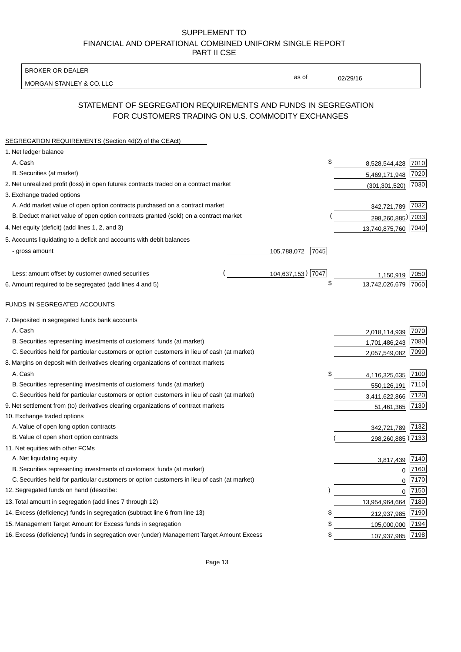BROKER OR DEALER

MORGAN STANLEY & CO. LLC

02/29/16

as of

# STATEMENT OF SEGREGATION REQUIREMENTS AND FUNDS IN SEGREGATION FOR CUSTOMERS TRADING ON U.S. COMMODITY EXCHANGES

| SEGREGATION REQUIREMENTS (Section 4d(2) of the CEAct)                                       |                     |                     |      |
|---------------------------------------------------------------------------------------------|---------------------|---------------------|------|
| 1. Net ledger balance                                                                       |                     |                     |      |
| A. Cash                                                                                     | \$                  | 8,528,544,428       | 7010 |
| B. Securities (at market)                                                                   |                     | 5,469,171,948       | 7020 |
| 2. Net unrealized profit (loss) in open futures contracts traded on a contract market       |                     | (301, 301, 520)     | 7030 |
| 3. Exchange traded options                                                                  |                     |                     |      |
| A. Add market value of open option contracts purchased on a contract market                 |                     | 342,721,789 7032    |      |
| B. Deduct market value of open option contracts granted (sold) on a contract market         |                     | 298,260,885) 7033   |      |
| 4. Net equity (deficit) (add lines 1, 2, and 3)                                             |                     | 13,740,875,760 7040 |      |
| 5. Accounts liquidating to a deficit and accounts with debit balances                       |                     |                     |      |
| - gross amount                                                                              | 7045<br>105,788,072 |                     |      |
|                                                                                             |                     |                     |      |
| Less: amount offset by customer owned securities                                            | 104,637,153) 7047   | 1,150,919           | 7050 |
| 6. Amount required to be segregated (add lines 4 and 5)                                     | \$                  | 13,742,026,679      | 7060 |
|                                                                                             |                     |                     |      |
| FUNDS IN SEGREGATED ACCOUNTS                                                                |                     |                     |      |
| 7. Deposited in segregated funds bank accounts                                              |                     |                     |      |
| A. Cash                                                                                     |                     | 2,018,114,939       | 7070 |
| B. Securities representing investments of customers' funds (at market)                      |                     | 1,701,486,243       | 7080 |
| C. Securities held for particular customers or option customers in lieu of cash (at market) |                     | 2,057,549,082       | 7090 |
| 8. Margins on deposit with derivatives clearing organizations of contract markets           |                     |                     |      |
| A. Cash                                                                                     | \$                  | 4,116,325,635       | 7100 |
| B. Securities representing investments of customers' funds (at market)                      |                     | 550,126,191         | 7110 |
| C. Securities held for particular customers or option customers in lieu of cash (at market) |                     | 3,411,622,866       | 7120 |
| 9. Net settlement from (to) derivatives clearing organizations of contract markets          |                     | 51,461,365          | 7130 |
| 10. Exchange traded options                                                                 |                     |                     |      |
| A. Value of open long option contracts                                                      |                     | 342,721,789         | 7132 |
| B. Value of open short option contracts                                                     |                     | 298,260,885) 7133   |      |
| 11. Net equities with other FCMs                                                            |                     |                     |      |
| A. Net liquidating equity                                                                   |                     | 3,817,439           | 7140 |
| B. Securities representing investments of customers' funds (at market)                      |                     | $\mathbf 0$         | 7160 |
| C. Securities held for particular customers or option customers in lieu of cash (at market) |                     | $\mathbf 0$         | 7170 |
| 12. Segregated funds on hand (describe:                                                     |                     | $\mathbf 0$         | 7150 |
| 13. Total amount in segregation (add lines 7 through 12)                                    |                     | 13,954,964,664      | 7180 |
| 14. Excess (deficiency) funds in segregation (subtract line 6 from line 13)                 | S                   | 212,937,985         | 7190 |
| 15. Management Target Amount for Excess funds in segregation                                | \$                  | 105,000,000         | 7194 |
| 16. Excess (deficiency) funds in segregation over (under) Management Target Amount Excess   | \$                  | 107,937,985         | 7198 |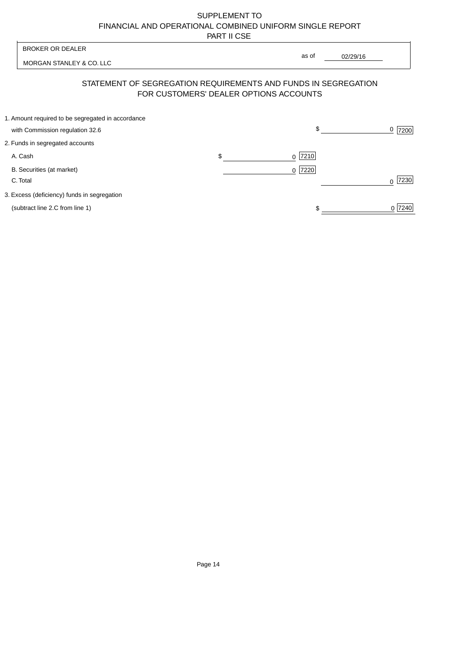| <b>BROKER OR DEALER</b>                                                              |                                        | as of                                                          |                  |
|--------------------------------------------------------------------------------------|----------------------------------------|----------------------------------------------------------------|------------------|
| MORGAN STANLEY & CO. LLC                                                             |                                        | 02/29/16                                                       |                  |
|                                                                                      | FOR CUSTOMERS' DEALER OPTIONS ACCOUNTS | STATEMENT OF SEGREGATION REQUIREMENTS AND FUNDS IN SEGREGATION |                  |
| 1. Amount required to be segregated in accordance<br>with Commission regulation 32.6 |                                        | \$                                                             | 0<br>7200        |
| 2. Funds in segregated accounts                                                      |                                        |                                                                |                  |
| A. Cash                                                                              | \$                                     | 7210<br><sup>0</sup>                                           |                  |
| B. Securities (at market)<br>C. Total                                                |                                        | 0 7220                                                         | 7230<br>$\Omega$ |
| 3. Excess (deficiency) funds in segregation                                          |                                        |                                                                |                  |
| (subtract line 2.C from line 1)                                                      |                                        |                                                                | 0 7240           |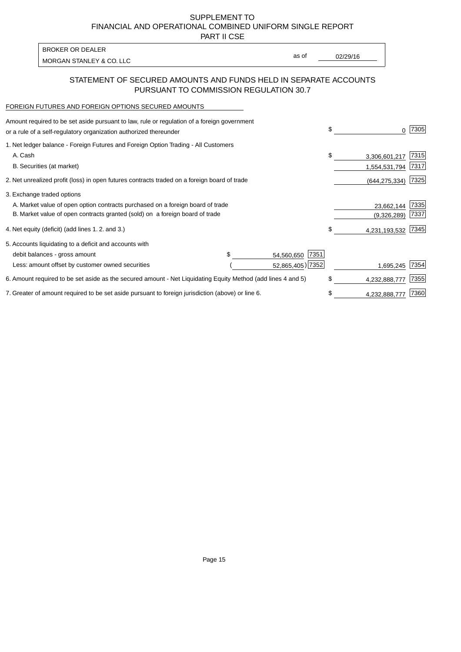PART II CSE

| BROKER OR DEALER         |       |          |
|--------------------------|-------|----------|
| MORGAN STANLEY & CO. LLC | as of | 02/29/16 |
|                          |       |          |

## STATEMENT OF SECURED AMOUNTS AND FUNDS HELD IN SEPARATE ACCOUNTS PURSUANT TO COMMISSION REGULATION 30.7

#### FOREIGN FUTURES AND FOREIGN OPTIONS SECURED AMOUNTS

| Amount required to be set aside pursuant to law, rule or regulation of a foreign government<br>or a rule of a self-regulatory organization authorized thereunder |  |                    | \$ |                 | 7305 |
|------------------------------------------------------------------------------------------------------------------------------------------------------------------|--|--------------------|----|-----------------|------|
| 1. Net ledger balance - Foreign Futures and Foreign Option Trading - All Customers                                                                               |  |                    |    |                 |      |
| A. Cash                                                                                                                                                          |  |                    | \$ | 3,306,601,217   | 7315 |
| B. Securities (at market)                                                                                                                                        |  |                    |    | 1,554,531,794   | 7317 |
| 2. Net unrealized profit (loss) in open futures contracts traded on a foreign board of trade                                                                     |  |                    |    | (644, 275, 334) | 7325 |
| 3. Exchange traded options                                                                                                                                       |  |                    |    |                 |      |
| A. Market value of open option contracts purchased on a foreign board of trade                                                                                   |  |                    |    | 23,662,144      | 7335 |
| B. Market value of open contracts granted (sold) on a foreign board of trade                                                                                     |  |                    |    | (9,326,289)     | 7337 |
| 4. Net equity (deficit) (add lines 1.2. and 3.)                                                                                                                  |  |                    |    | 4,231,193,532   | 7345 |
| 5. Accounts liquidating to a deficit and accounts with                                                                                                           |  |                    |    |                 |      |
| debit balances - gross amount                                                                                                                                    |  | 7351<br>54,560,650 |    |                 |      |
| Less: amount offset by customer owned securities                                                                                                                 |  | 52,865,405) 7352   |    | 1,695,245       | 7354 |
| 6. Amount required to be set aside as the secured amount - Net Liquidating Equity Method (add lines 4 and 5)                                                     |  |                    | \$ | 4,232,888,777   | 7355 |
| 7. Greater of amount required to be set aside pursuant to foreign jurisdiction (above) or line 6.                                                                |  |                    | \$ | 4,232,888,777   | 7360 |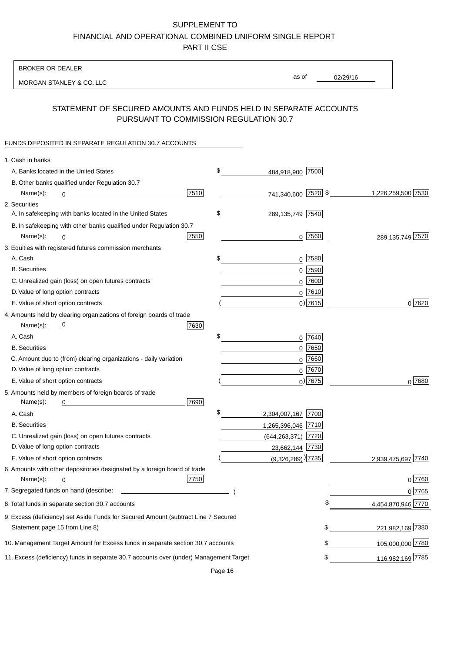### BROKER OR DEALER

MORGAN STANLEY & CO. LLC

02/29/16

as of

## STATEMENT OF SECURED AMOUNTS AND FUNDS HELD IN SEPARATE ACCOUNTS PURSUANT TO COMMISSION REGULATION 30.7

#### FUNDS DEPOSITED IN SEPARATE REGULATION 30.7 ACCOUNTS

| 1. Cash in banks                                 |                                                                                        |      |                                 |             |                    |
|--------------------------------------------------|----------------------------------------------------------------------------------------|------|---------------------------------|-------------|--------------------|
| A. Banks located in the United States            |                                                                                        |      | \$<br>484,918,900               | 7500        |                    |
|                                                  | B. Other banks qualified under Regulation 30.7                                         |      |                                 |             |                    |
| Name(s):<br>0                                    |                                                                                        | 7510 | 741,340,600 7520 \$             |             | 1,226,259,500 7530 |
| 2. Securities                                    |                                                                                        |      |                                 |             |                    |
|                                                  | A. In safekeeping with banks located in the United States                              |      | \$<br>289,135,749 7540          |             |                    |
|                                                  | B. In safekeeping with other banks qualified under Regulation 30.7                     |      |                                 |             |                    |
| Name(s):<br>0                                    |                                                                                        | 7550 |                                 | $0$ 7560    | 289,135,749 7570   |
|                                                  | 3. Equities with registered futures commission merchants                               |      |                                 |             |                    |
| A. Cash                                          |                                                                                        |      | \$                              | $0$ 7580    |                    |
| <b>B.</b> Securities                             |                                                                                        |      |                                 | $0$ 7590    |                    |
|                                                  | C. Unrealized gain (loss) on open futures contracts                                    |      |                                 | $0$ 7600    |                    |
| D. Value of long option contracts                |                                                                                        |      |                                 | $0^{7610}$  |                    |
| E. Value of short option contracts               |                                                                                        |      |                                 | $0)$ 7615   | 0 7620             |
|                                                  | 4. Amounts held by clearing organizations of foreign boards of trade                   |      |                                 |             |                    |
| Name(s):                                         |                                                                                        | 7630 |                                 |             |                    |
| A. Cash                                          |                                                                                        |      | \$                              | 0 7640      |                    |
| <b>B.</b> Securities                             |                                                                                        |      |                                 | $0$ 7650    |                    |
|                                                  | C. Amount due to (from) clearing organizations - daily variation                       |      | 0                               | 7660        |                    |
| D. Value of long option contracts                |                                                                                        |      |                                 | 0 7670      |                    |
| E. Value of short option contracts               |                                                                                        |      |                                 | $_0$ ) 7675 | 0 7680             |
|                                                  | 5. Amounts held by members of foreign boards of trade                                  |      |                                 |             |                    |
| Name(s):<br>0                                    |                                                                                        | 7690 |                                 |             |                    |
| A. Cash                                          |                                                                                        |      | \$<br>2,304,007,167 7700        |             |                    |
| <b>B.</b> Securities                             |                                                                                        |      | 1,265,396,046 7710              |             |                    |
|                                                  | C. Unrealized gain (loss) on open futures contracts                                    |      | (644, 263, 371) 7720            |             |                    |
| D. Value of long option contracts                |                                                                                        |      | 23,662,144 7730                 |             |                    |
| E. Value of short option contracts               |                                                                                        |      | $(9,326,289)$ <sup>)</sup> 7735 |             | 2,939,475,697 7740 |
|                                                  | 6. Amounts with other depositories designated by a foreign board of trade              |      |                                 |             |                    |
| Name(s):<br>0                                    |                                                                                        | 7750 |                                 |             | 0 7760             |
| 7. Segregated funds on hand (describe:           |                                                                                        |      |                                 |             | 0 7765             |
| 8. Total funds in separate section 30.7 accounts |                                                                                        |      |                                 |             | 4,454,870,946 7770 |
|                                                  | 9. Excess (deficiency) set Aside Funds for Secured Amount (subtract Line 7 Secured     |      |                                 |             |                    |
| Statement page 15 from Line 8)                   |                                                                                        |      |                                 | \$          | 221,982,169 7380   |
|                                                  | 10. Management Target Amount for Excess funds in separate section 30.7 accounts        |      |                                 | \$          | 105,000,000 7780   |
|                                                  | 11. Excess (deficiency) funds in separate 30.7 accounts over (under) Management Target |      |                                 | \$          | 116,982,169 7785   |